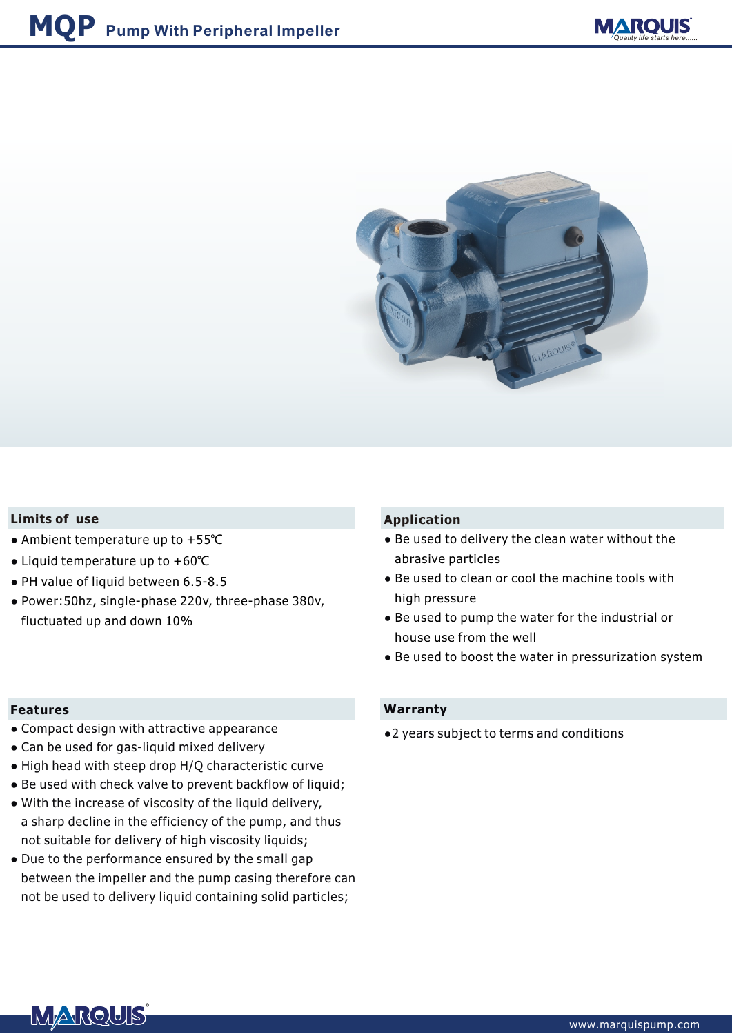

## **Limits of use**

- **●** Ambient temperature up to +55℃
- **●** Liquid temperature up to +60℃
- **●** PH value of liquid between 6.5-8.5
- **●** Power:50hz, single-phase 220v, three-phase 380v, fluctuated up and down 10%

### **Features**

- Compact design with attractive appearance **●**
- Can be used for gas-liquid mixed delivery **●**
- **•** High head with steep drop H/Q characteristic curve
- Be used with check valve to prevent backflow of liquid;
- With the increase of viscosity of the liquid delivery, **●** a sharp decline in the efficiency of the pump, and thus not suitable for delivery of high viscosity liquids;
- Due to the performance ensured by the small gap **●** between the impeller and the pump casing therefore can not be used to delivery liquid containing solid particles;

## **Application**

- **●** Be used to delivery the clean water without the abrasive particles
- **●** Be used to clean or cool the machine tools with high pressure
- **●** Be used to pump the water for the industrial or house use from the well
- **●** Be used to boost the water in pressurization system

## **Warranty**

**●**2 years subject to terms and conditions

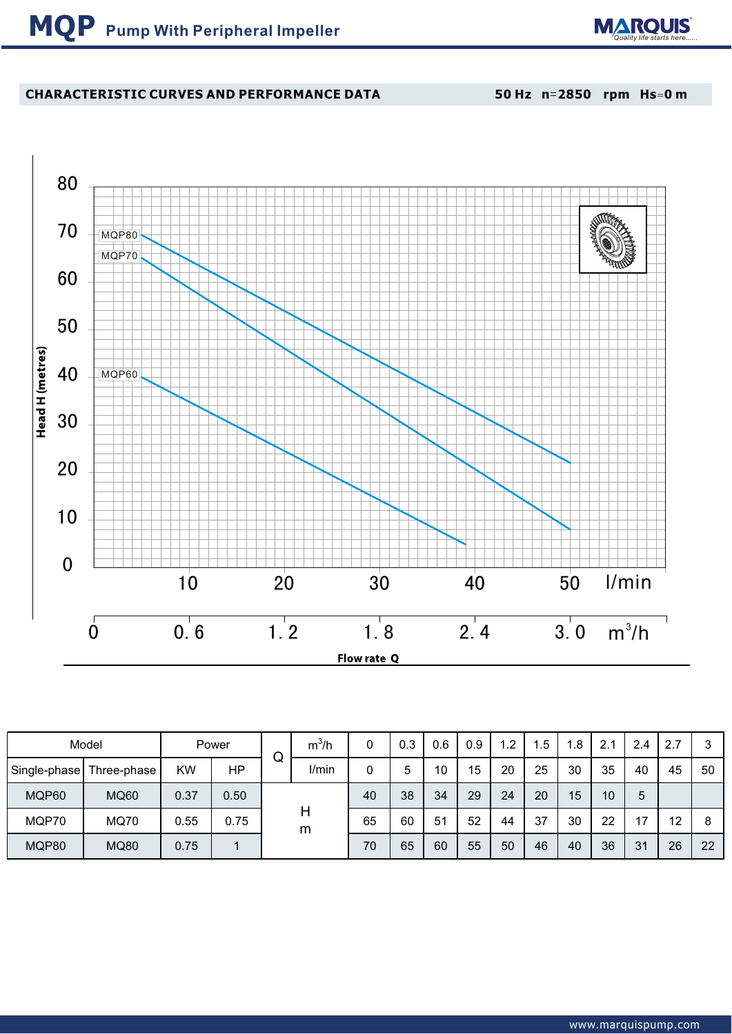

# **CHARACTERISTIC CURVES AND PERFORMANCE DATA**

**50 Hz n**=**2850 rpm Hs**=**0 m**



| Model |                          |      | Power | ┌ | $m^3/h$ | 0  | 0.3 | 0.6 | 0.9 | $\mathsf{L}2$ | $.5\,$ | .8 | 2.1 | 2.4 | 2.7 | 3  |
|-------|--------------------------|------|-------|---|---------|----|-----|-----|-----|---------------|--------|----|-----|-----|-----|----|
|       | Single-phase Three-phase | KW   | HP    | W | I/min   |    | 5   | 10  | 15  | 20            | 25     | 30 | 35  | 40  | 45  | 50 |
| MQP60 | <b>MQ60</b>              | 0.37 | 0.50  |   |         | 40 | 38  | 34  | 29  | 24            | 20     | 15 | 10  | 5   |     |    |
| MQP70 | <b>MQ70</b>              | 0.55 | 0.75  |   | Н<br>m  | 65 | 60  | 51  | 52  | 44            | 37     | 30 | 22  | 17  | 12  | 8  |
| MQP80 | <b>MQ80</b>              | 0.75 |       |   |         | 70 | 65  | 60  | 55  | 50            | 46     | 40 | 36  | 31  | 26  | 22 |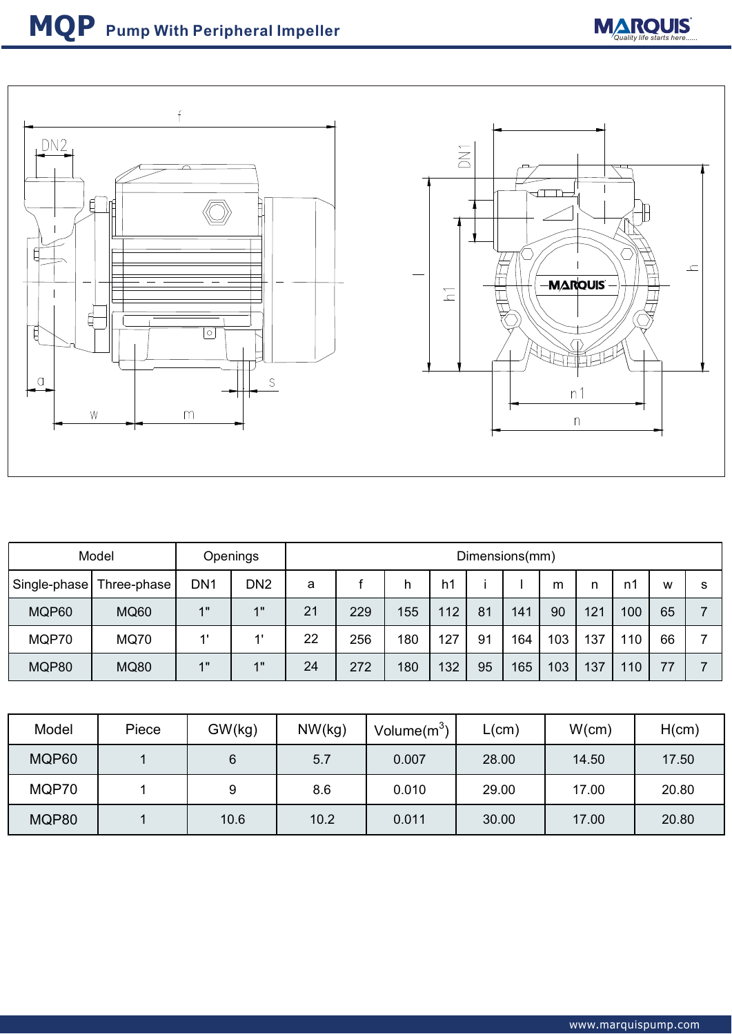



| Model        |             | Openings        |                 | Dimensions(mm) |     |     |     |    |     |     |     |     |    |   |
|--------------|-------------|-----------------|-----------------|----------------|-----|-----|-----|----|-----|-----|-----|-----|----|---|
| Single-phase | Three-phase | DN <sub>1</sub> | DN <sub>2</sub> | a              |     | h   | h1  |    |     | m   | n   | n1  | w  | s |
| MQP60        | <b>MQ60</b> | 4"              | 1"              | 21             | 229 | 155 | 112 | 81 | 141 | 90  | 121 | 100 | 65 |   |
| MQP70        | <b>MQ70</b> | 41              | $\mathbf{1}$    | 22             | 256 | 180 | 127 | 91 | 164 | 103 | 137 | 110 | 66 |   |
| MQP80        | <b>MQ80</b> | $\ddotmark$     | 1"              | 24             | 272 | 180 | 132 | 95 | 165 | 103 | 137 | 110 | 77 |   |

| Model | Piece | GW(kg) | NW(kg) | Volume $(m^3)$ | L(cm) | W(cm) | H(cm) |
|-------|-------|--------|--------|----------------|-------|-------|-------|
| MQP60 |       | 6      | 5.7    | 0.007          | 28.00 | 14.50 | 17.50 |
| MQP70 |       |        | 8.6    | 0.010          | 29.00 | 17.00 | 20.80 |
| MQP80 |       | 10.6   | 10.2   | 0.011          | 30.00 | 17.00 | 20.80 |